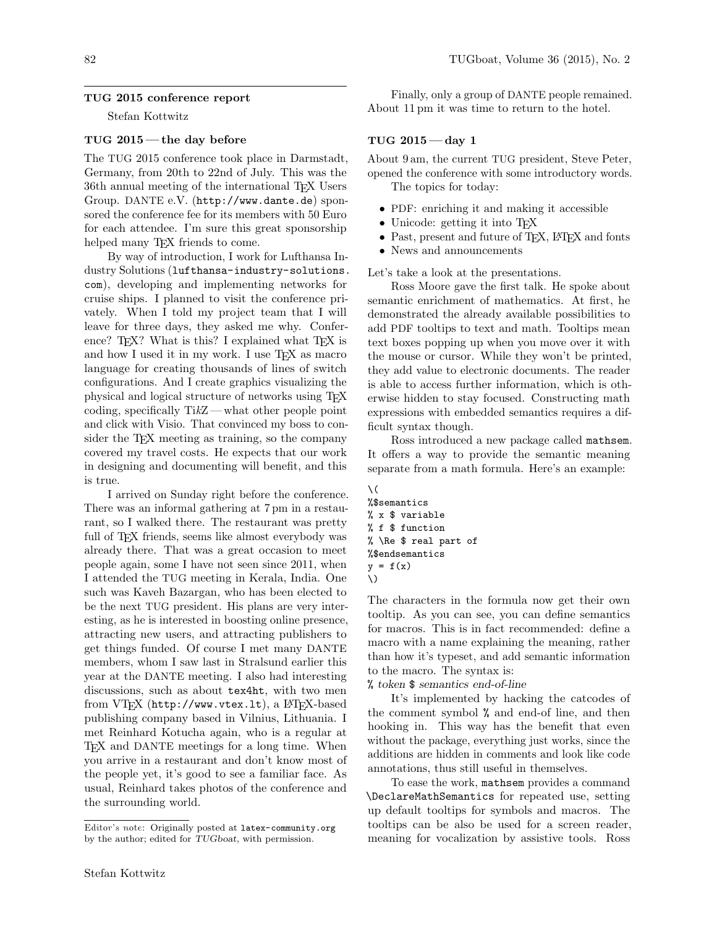Stefan Kottwitz

### TUG 2015 — the day before

The TUG 2015 conference took place in Darmstadt, Germany, from 20th to 22nd of July. This was the 36th annual meeting of the international TEX Users Group. DANTE e.V. (http://www.dante.de) sponsored the conference fee for its members with 50 Euro for each attendee. I'm sure this great sponsorship helped many T<sub>F</sub>X friends to come.

By way of introduction, I work for Lufthansa Industry Solutions (lufthansa-industry-solutions. com), developing and implementing networks for cruise ships. I planned to visit the conference privately. When I told my project team that I will leave for three days, they asked me why. Conference? TEX? What is this? I explained what TEX is and how I used it in my work. I use T<sub>E</sub>X as macro language for creating thousands of lines of switch configurations. And I create graphics visualizing the physical and logical structure of networks using TEX coding, specifically TikZ— what other people point and click with Visio. That convinced my boss to consider the TEX meeting as training, so the company covered my travel costs. He expects that our work in designing and documenting will benefit, and this is true.

I arrived on Sunday right before the conference. There was an informal gathering at 7 pm in a restaurant, so I walked there. The restaurant was pretty full of TFX friends, seems like almost everybody was already there. That was a great occasion to meet people again, some I have not seen since 2011, when I attended the TUG meeting in Kerala, India. One such was Kaveh Bazargan, who has been elected to be the next TUG president. His plans are very interesting, as he is interested in boosting online presence, attracting new users, and attracting publishers to get things funded. Of course I met many DANTE members, whom I saw last in Stralsund earlier this year at the DANTE meeting. I also had interesting discussions, such as about tex4ht, with two men from VTFX (http://www.vtex.lt), a LATFX-based publishing company based in Vilnius, Lithuania. I met Reinhard Kotucha again, who is a regular at TEX and DANTE meetings for a long time. When you arrive in a restaurant and don't know most of the people yet, it's good to see a familiar face. As usual, Reinhard takes photos of the conference and the surrounding world.

Finally, only a group of DANTE people remained. About 11 pm it was time to return to the hotel.

# TUG  $2015 - day 1$

About 9 am, the current TUG president, Steve Peter, opened the conference with some introductory words.

The topics for today:

- PDF: enriching it and making it accessible
- Unicode: getting it into TFX
- Past, present and future of T<sub>E</sub>X, L<sup>AT</sup>E<sub>X</sub> and fonts
- News and announcements

Let's take a look at the presentations.

Ross Moore gave the first talk. He spoke about semantic enrichment of mathematics. At first, he demonstrated the already available possibilities to add PDF tooltips to text and math. Tooltips mean text boxes popping up when you move over it with the mouse or cursor. While they won't be printed, they add value to electronic documents. The reader is able to access further information, which is otherwise hidden to stay focused. Constructing math expressions with embedded semantics requires a difficult syntax though.

Ross introduced a new package called mathsem. It offers a way to provide the semantic meaning separate from a math formula. Here's an example:

```
\setminus%$semantics
% x $ variable
% f $ function
% \Re $ real part of
%$endsemantics
y = f(x)\)
```
The characters in the formula now get their own tooltip. As you can see, you can define semantics for macros. This is in fact recommended: define a macro with a name explaining the meaning, rather than how it's typeset, and add semantic information to the macro. The syntax is:

% token \$ semantics end-of-line

It's implemented by hacking the catcodes of the comment symbol % and end-of line, and then hooking in. This way has the benefit that even without the package, everything just works, since the additions are hidden in comments and look like code annotations, thus still useful in themselves.

To ease the work, mathsem provides a command \DeclareMathSemantics for repeated use, setting up default tooltips for symbols and macros. The tooltips can be also be used for a screen reader, meaning for vocalization by assistive tools. Ross

Editor's note: Originally posted at latex-community.org by the author; edited for TUGboat, with permission.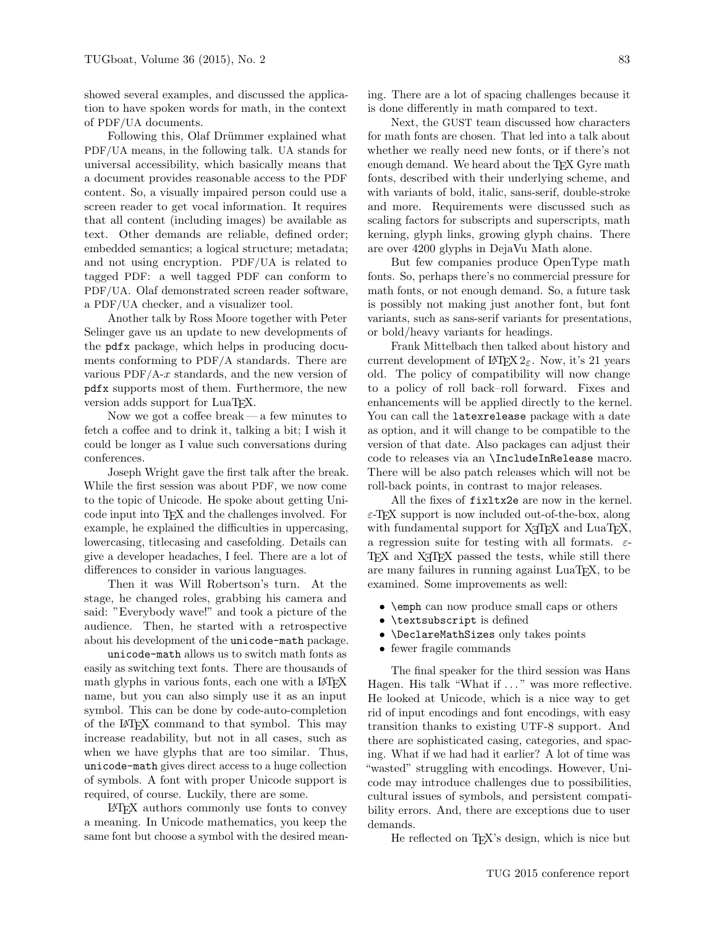showed several examples, and discussed the application to have spoken words for math, in the context of PDF/UA documents.

Following this, Olaf Drümmer explained what PDF/UA means, in the following talk. UA stands for universal accessibility, which basically means that a document provides reasonable access to the PDF content. So, a visually impaired person could use a screen reader to get vocal information. It requires that all content (including images) be available as text. Other demands are reliable, defined order; embedded semantics; a logical structure; metadata; and not using encryption. PDF/UA is related to tagged PDF: a well tagged PDF can conform to PDF/UA. Olaf demonstrated screen reader software, a PDF/UA checker, and a visualizer tool.

Another talk by Ross Moore together with Peter Selinger gave us an update to new developments of the pdfx package, which helps in producing documents conforming to PDF/A standards. There are various  $PDF/A-x$  standards, and the new version of pdfx supports most of them. Furthermore, the new version adds support for LuaT<sub>EX</sub>.

Now we got a coffee break— a few minutes to fetch a coffee and to drink it, talking a bit; I wish it could be longer as I value such conversations during conferences.

Joseph Wright gave the first talk after the break. While the first session was about PDF, we now come to the topic of Unicode. He spoke about getting Unicode input into TEX and the challenges involved. For example, he explained the difficulties in uppercasing, lowercasing, titlecasing and casefolding. Details can give a developer headaches, I feel. There are a lot of differences to consider in various languages.

Then it was Will Robertson's turn. At the stage, he changed roles, grabbing his camera and said: "Everybody wave!" and took a picture of the audience. Then, he started with a retrospective about his development of the unicode-math package.

unicode-math allows us to switch math fonts as easily as switching text fonts. There are thousands of math glyphs in various fonts, each one with a L<sup>AT</sup>FX name, but you can also simply use it as an input symbol. This can be done by code-auto-completion of the LATEX command to that symbol. This may increase readability, but not in all cases, such as when we have glyphs that are too similar. Thus, unicode-math gives direct access to a huge collection of symbols. A font with proper Unicode support is required, of course. Luckily, there are some.

LATEX authors commonly use fonts to convey a meaning. In Unicode mathematics, you keep the same font but choose a symbol with the desired meaning. There are a lot of spacing challenges because it is done differently in math compared to text.

Next, the GUST team discussed how characters for math fonts are chosen. That led into a talk about whether we really need new fonts, or if there's not enough demand. We heard about the TFX Gyre math fonts, described with their underlying scheme, and with variants of bold, italic, sans-serif, double-stroke and more. Requirements were discussed such as scaling factors for subscripts and superscripts, math kerning, glyph links, growing glyph chains. There are over 4200 glyphs in DejaVu Math alone.

But few companies produce OpenType math fonts. So, perhaps there's no commercial pressure for math fonts, or not enough demand. So, a future task is possibly not making just another font, but font variants, such as sans-serif variants for presentations, or bold/heavy variants for headings.

Frank Mittelbach then talked about history and current development of  $\angle MEX \, 2_{\epsilon}$ . Now, it's 21 years old. The policy of compatibility will now change to a policy of roll back–roll forward. Fixes and enhancements will be applied directly to the kernel. You can call the latexrelease package with a date as option, and it will change to be compatible to the version of that date. Also packages can adjust their code to releases via an \IncludeInRelease macro. There will be also patch releases which will not be roll-back points, in contrast to major releases.

All the fixes of fixltx2e are now in the kernel.  $\varepsilon$ -T<sub>E</sub>X support is now included out-of-the-box, along with fundamental support for  $X \nI F X$  and  $L u a T F X$ , a regression suite for testing with all formats.  $\varepsilon$ -TEX and X<sub>T</sub>TEX passed the tests, while still there are many failures in running against LuaTFX, to be examined. Some improvements as well:

- \emph can now produce small caps or others
- \textsubscript is defined
- \DeclareMathSizes only takes points
- fewer fragile commands

The final speaker for the third session was Hans Hagen. His talk "What if ..." was more reflective. He looked at Unicode, which is a nice way to get rid of input encodings and font encodings, with easy transition thanks to existing UTF-8 support. And there are sophisticated casing, categories, and spacing. What if we had had it earlier? A lot of time was "wasted" struggling with encodings. However, Unicode may introduce challenges due to possibilities, cultural issues of symbols, and persistent compatibility errors. And, there are exceptions due to user demands.

He reflected on T<sub>E</sub>X's design, which is nice but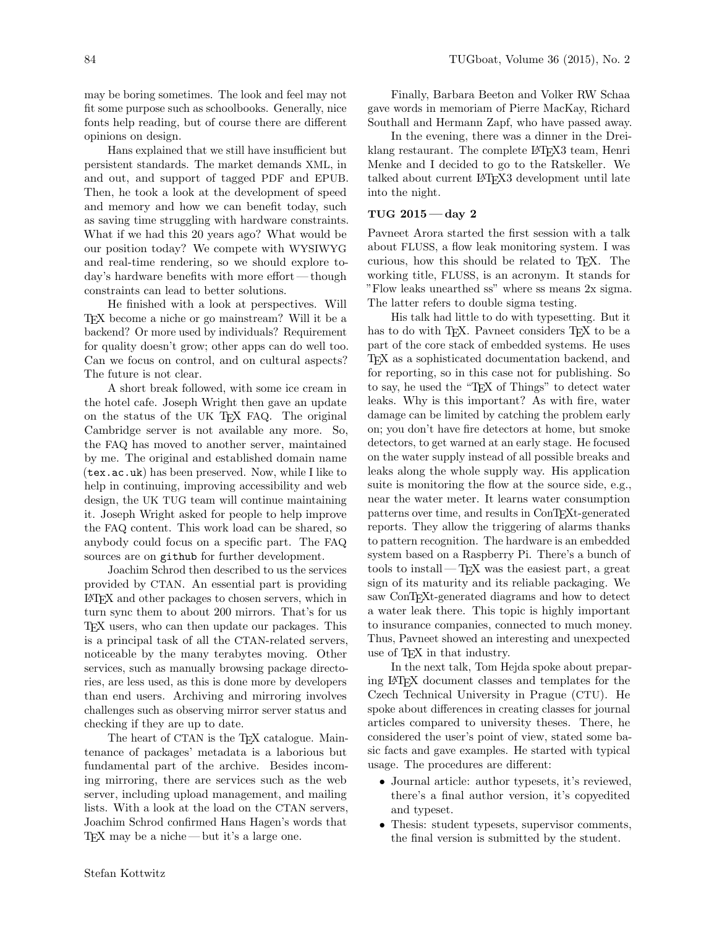may be boring sometimes. The look and feel may not fit some purpose such as schoolbooks. Generally, nice fonts help reading, but of course there are different opinions on design.

Hans explained that we still have insufficient but persistent standards. The market demands XML, in and out, and support of tagged PDF and EPUB. Then, he took a look at the development of speed and memory and how we can benefit today, such as saving time struggling with hardware constraints. What if we had this 20 years ago? What would be our position today? We compete with WYSIWYG and real-time rendering, so we should explore today's hardware benefits with more effort— though constraints can lead to better solutions.

He finished with a look at perspectives. Will TEX become a niche or go mainstream? Will it be a backend? Or more used by individuals? Requirement for quality doesn't grow; other apps can do well too. Can we focus on control, and on cultural aspects? The future is not clear.

A short break followed, with some ice cream in the hotel cafe. Joseph Wright then gave an update on the status of the UK TEX FAQ. The original Cambridge server is not available any more. So, the FAQ has moved to another server, maintained by me. The original and established domain name (tex.ac.uk) has been preserved. Now, while I like to help in continuing, improving accessibility and web design, the UK TUG team will continue maintaining it. Joseph Wright asked for people to help improve the FAQ content. This work load can be shared, so anybody could focus on a specific part. The FAQ sources are on github for further development.

Joachim Schrod then described to us the services provided by CTAN. An essential part is providing LATEX and other packages to chosen servers, which in turn sync them to about 200 mirrors. That's for us TEX users, who can then update our packages. This is a principal task of all the CTAN-related servers, noticeable by the many terabytes moving. Other services, such as manually browsing package directories, are less used, as this is done more by developers than end users. Archiving and mirroring involves challenges such as observing mirror server status and checking if they are up to date.

The heart of CTAN is the T<sub>F</sub>X catalogue. Maintenance of packages' metadata is a laborious but fundamental part of the archive. Besides incoming mirroring, there are services such as the web server, including upload management, and mailing lists. With a look at the load on the CTAN servers, Joachim Schrod confirmed Hans Hagen's words that TEX may be a niche — but it's a large one.

Finally, Barbara Beeton and Volker RW Schaa gave words in memoriam of Pierre MacKay, Richard Southall and Hermann Zapf, who have passed away.

In the evening, there was a dinner in the Dreiklang restaurant. The complete LATEX3 team, Henri Menke and I decided to go to the Ratskeller. We talked about current LATEX3 development until late into the night.

## TUG  $2015 - day$  2

Pavneet Arora started the first session with a talk about FLUSS, a flow leak monitoring system. I was curious, how this should be related to TEX. The working title, FLUSS, is an acronym. It stands for "Flow leaks unearthed ss" where ss means 2x sigma. The latter refers to double sigma testing.

His talk had little to do with typesetting. But it has to do with T<sub>F</sub>X. Pavneet considers T<sub>F</sub>X to be a part of the core stack of embedded systems. He uses TEX as a sophisticated documentation backend, and for reporting, so in this case not for publishing. So to say, he used the "TEX of Things" to detect water leaks. Why is this important? As with fire, water damage can be limited by catching the problem early on; you don't have fire detectors at home, but smoke detectors, to get warned at an early stage. He focused on the water supply instead of all possible breaks and leaks along the whole supply way. His application suite is monitoring the flow at the source side, e.g., near the water meter. It learns water consumption patterns over time, and results in ConTEXt-generated reports. They allow the triggering of alarms thanks to pattern recognition. The hardware is an embedded system based on a Raspberry Pi. There's a bunch of tools to install— $T_{\text{F}}X$  was the easiest part, a great sign of its maturity and its reliable packaging. We saw ConTEXt-generated diagrams and how to detect a water leak there. This topic is highly important to insurance companies, connected to much money. Thus, Pavneet showed an interesting and unexpected use of TEX in that industry.

In the next talk, Tom Hejda spoke about preparing LATEX document classes and templates for the Czech Technical University in Prague (CTU). He spoke about differences in creating classes for journal articles compared to university theses. There, he considered the user's point of view, stated some basic facts and gave examples. He started with typical usage. The procedures are different:

- Journal article: author typesets, it's reviewed, there's a final author version, it's copyedited and typeset.
- Thesis: student typesets, supervisor comments, the final version is submitted by the student.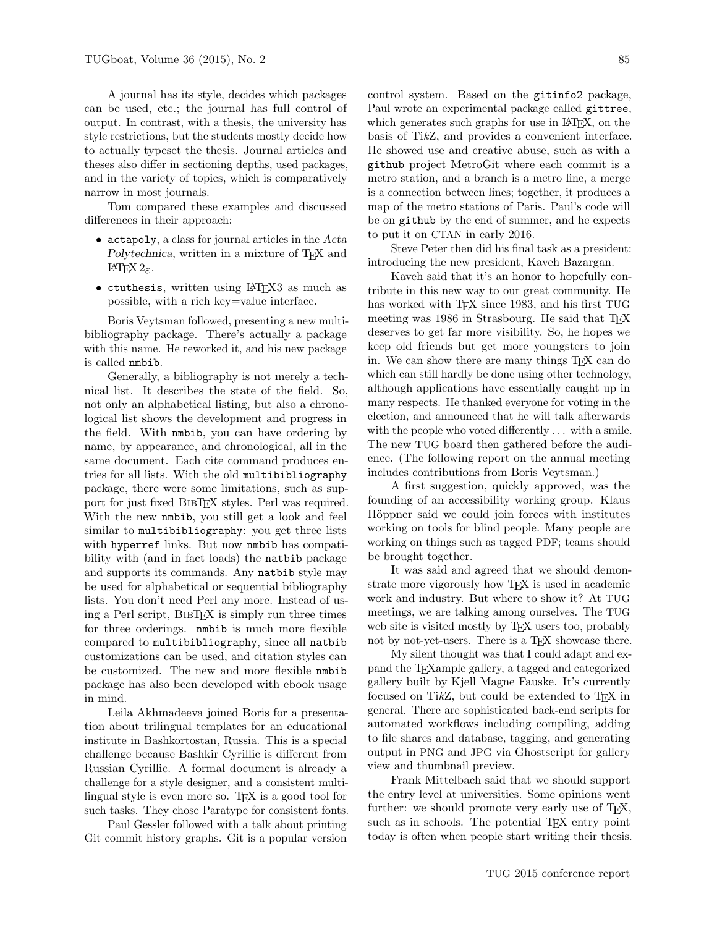A journal has its style, decides which packages can be used, etc.; the journal has full control of output. In contrast, with a thesis, the university has style restrictions, but the students mostly decide how to actually typeset the thesis. Journal articles and theses also differ in sectioning depths, used packages, and in the variety of topics, which is comparatively narrow in most journals.

Tom compared these examples and discussed differences in their approach:

- actapoly, a class for journal articles in the Acta Polytechnica, written in a mixture of TFX and LAT<sub>F</sub>X  $2_ε$ .
- ctuthesis, written using LATEX3 as much as possible, with a rich key=value interface.

Boris Veytsman followed, presenting a new multibibliography package. There's actually a package with this name. He reworked it, and his new package is called nmbib.

Generally, a bibliography is not merely a technical list. It describes the state of the field. So, not only an alphabetical listing, but also a chronological list shows the development and progress in the field. With nmbib, you can have ordering by name, by appearance, and chronological, all in the same document. Each cite command produces entries for all lists. With the old multibibliography package, there were some limitations, such as support for just fixed BIBT<sub>EX</sub> styles. Perl was required. With the new nmbib, you still get a look and feel similar to multibibliography: you get three lists with hyperref links. But now nmbib has compatibility with (and in fact loads) the natbib package and supports its commands. Any natbib style may be used for alphabetical or sequential bibliography lists. You don't need Perl any more. Instead of using a Perl script, BibTEX is simply run three times for three orderings. nmbib is much more flexible compared to multibibliography, since all natbib customizations can be used, and citation styles can be customized. The new and more flexible nmbib package has also been developed with ebook usage in mind.

Leila Akhmadeeva joined Boris for a presentation about trilingual templates for an educational institute in Bashkortostan, Russia. This is a special challenge because Bashkir Cyrillic is different from Russian Cyrillic. A formal document is already a challenge for a style designer, and a consistent multilingual style is even more so. T<sub>F</sub>X is a good tool for such tasks. They chose Paratype for consistent fonts.

Paul Gessler followed with a talk about printing Git commit history graphs. Git is a popular version which generates such graphs for use in L<sup>AT</sup>EX, on the basis of TikZ, and provides a convenient interface. He showed use and creative abuse, such as with a github project MetroGit where each commit is a metro station, and a branch is a metro line, a merge is a connection between lines; together, it produces a map of the metro stations of Paris. Paul's code will be on github by the end of summer, and he expects to put it on CTAN in early 2016.

Steve Peter then did his final task as a president: introducing the new president, Kaveh Bazargan.

Kaveh said that it's an honor to hopefully contribute in this new way to our great community. He has worked with T<sub>F</sub>X since 1983, and his first TUG meeting was 1986 in Strasbourg. He said that T<sub>F</sub>X deserves to get far more visibility. So, he hopes we keep old friends but get more youngsters to join in. We can show there are many things TEX can do which can still hardly be done using other technology, although applications have essentially caught up in many respects. He thanked everyone for voting in the election, and announced that he will talk afterwards with the people who voted differently . . . with a smile. The new TUG board then gathered before the audience. (The following report on the annual meeting includes contributions from Boris Veytsman.)

A first suggestion, quickly approved, was the founding of an accessibility working group. Klaus Höppner said we could join forces with institutes working on tools for blind people. Many people are working on things such as tagged PDF; teams should be brought together.

It was said and agreed that we should demonstrate more vigorously how T<sub>E</sub>X is used in academic work and industry. But where to show it? At TUG meetings, we are talking among ourselves. The TUG web site is visited mostly by T<sub>F</sub>X users too, probably not by not-yet-users. There is a T<sub>EX</sub> showcase there.

My silent thought was that I could adapt and expand the TEXample gallery, a tagged and categorized gallery built by Kjell Magne Fauske. It's currently focused on Ti $kZ$ , but could be extended to T<sub>F</sub>X in general. There are sophisticated back-end scripts for automated workflows including compiling, adding to file shares and database, tagging, and generating output in PNG and JPG via Ghostscript for gallery view and thumbnail preview.

Frank Mittelbach said that we should support the entry level at universities. Some opinions went further: we should promote very early use of T<sub>E</sub>X, such as in schools. The potential T<sub>E</sub>X entry point today is often when people start writing their thesis.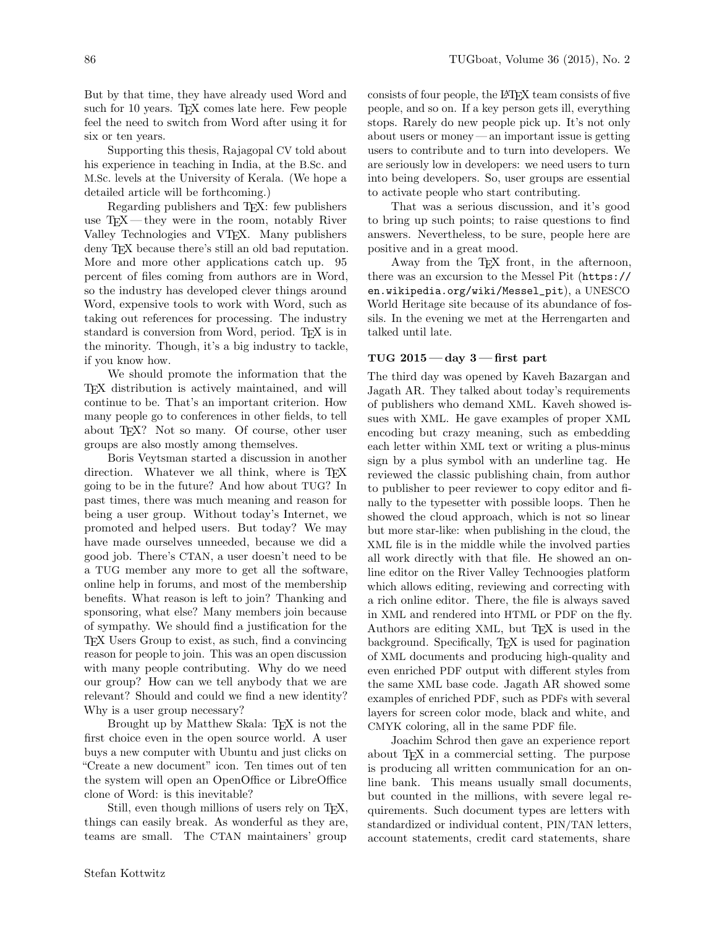But by that time, they have already used Word and such for 10 years. T<sub>E</sub>X comes late here. Few people feel the need to switch from Word after using it for six or ten years.

Supporting this thesis, Rajagopal CV told about his experience in teaching in India, at the B.Sc. and M.Sc. levels at the University of Kerala. (We hope a detailed article will be forthcoming.)

Regarding publishers and T<sub>E</sub>X: few publishers use  $T_F X$ — they were in the room, notably River Valley Technologies and VTEX. Many publishers deny TEX because there's still an old bad reputation. More and more other applications catch up. 95 percent of files coming from authors are in Word, so the industry has developed clever things around Word, expensive tools to work with Word, such as taking out references for processing. The industry standard is conversion from Word, period. T<sub>EX</sub> is in the minority. Though, it's a big industry to tackle, if you know how.

We should promote the information that the TEX distribution is actively maintained, and will continue to be. That's an important criterion. How many people go to conferences in other fields, to tell about TEX? Not so many. Of course, other user groups are also mostly among themselves.

Boris Veytsman started a discussion in another direction. Whatever we all think, where is T<sub>EX</sub> going to be in the future? And how about TUG? In past times, there was much meaning and reason for being a user group. Without today's Internet, we promoted and helped users. But today? We may have made ourselves unneeded, because we did a good job. There's CTAN, a user doesn't need to be a TUG member any more to get all the software, online help in forums, and most of the membership benefits. What reason is left to join? Thanking and sponsoring, what else? Many members join because of sympathy. We should find a justification for the TEX Users Group to exist, as such, find a convincing reason for people to join. This was an open discussion with many people contributing. Why do we need our group? How can we tell anybody that we are relevant? Should and could we find a new identity? Why is a user group necessary?

Brought up by Matthew Skala: TFX is not the first choice even in the open source world. A user buys a new computer with Ubuntu and just clicks on "Create a new document" icon. Ten times out of ten the system will open an OpenOffice or LibreOffice clone of Word: is this inevitable?

Still, even though millions of users rely on T<sub>E</sub>X, things can easily break. As wonderful as they are, teams are small. The CTAN maintainers' group

consists of four people, the LATEX team consists of five people, and so on. If a key person gets ill, everything stops. Rarely do new people pick up. It's not only about users or money — an important issue is getting users to contribute and to turn into developers. We are seriously low in developers: we need users to turn into being developers. So, user groups are essential to activate people who start contributing.

That was a serious discussion, and it's good to bring up such points; to raise questions to find answers. Nevertheless, to be sure, people here are positive and in a great mood.

Away from the T<sub>E</sub>X front, in the afternoon, there was an excursion to the Messel Pit (https:// en.wikipedia.org/wiki/Messel\_pit), a UNESCO World Heritage site because of its abundance of fossils. In the evening we met at the Herrengarten and talked until late.

### TUG  $2015 - day$  3  $-$  first part

The third day was opened by Kaveh Bazargan and Jagath AR. They talked about today's requirements of publishers who demand XML. Kaveh showed issues with XML. He gave examples of proper XML encoding but crazy meaning, such as embedding each letter within XML text or writing a plus-minus sign by a plus symbol with an underline tag. He reviewed the classic publishing chain, from author to publisher to peer reviewer to copy editor and finally to the typesetter with possible loops. Then he showed the cloud approach, which is not so linear but more star-like: when publishing in the cloud, the XML file is in the middle while the involved parties all work directly with that file. He showed an online editor on the River Valley Technoogies platform which allows editing, reviewing and correcting with a rich online editor. There, the file is always saved in XML and rendered into HTML or PDF on the fly. Authors are editing XML, but T<sub>EX</sub> is used in the background. Specifically, TEX is used for pagination of XML documents and producing high-quality and even enriched PDF output with different styles from the same XML base code. Jagath AR showed some examples of enriched PDF, such as PDFs with several layers for screen color mode, black and white, and CMYK coloring, all in the same PDF file.

Joachim Schrod then gave an experience report about TEX in a commercial setting. The purpose is producing all written communication for an online bank. This means usually small documents, but counted in the millions, with severe legal requirements. Such document types are letters with standardized or individual content, PIN/TAN letters, account statements, credit card statements, share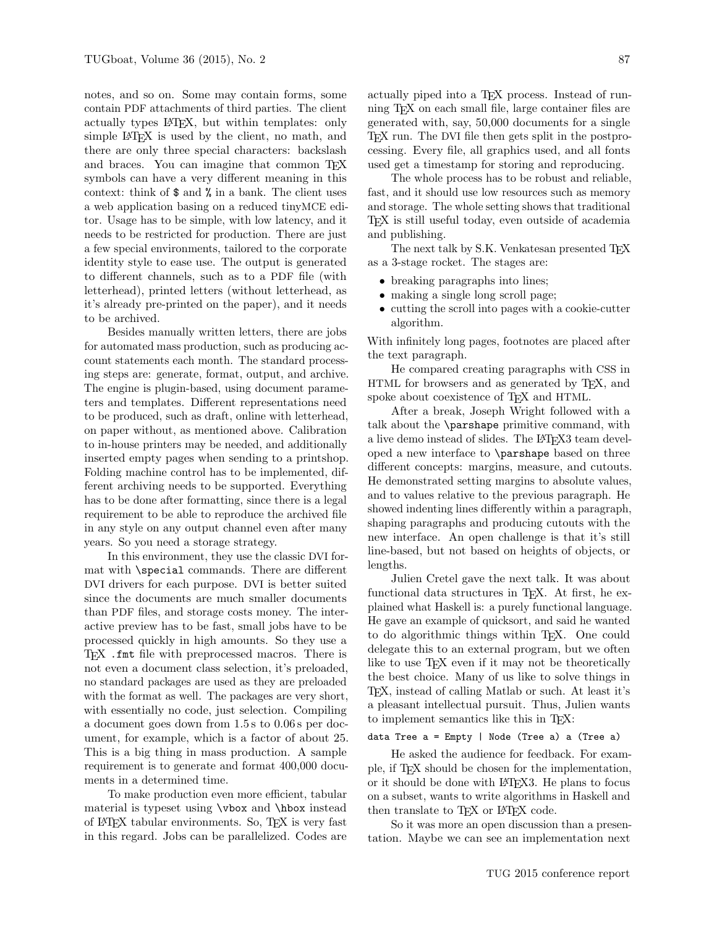notes, and so on. Some may contain forms, some contain PDF attachments of third parties. The client actually types LATEX, but within templates: only simple L<sup>AT</sup>FX is used by the client, no math, and there are only three special characters: backslash and braces. You can imagine that common T<sub>E</sub>X symbols can have a very different meaning in this context: think of \$ and % in a bank. The client uses a web application basing on a reduced tinyMCE editor. Usage has to be simple, with low latency, and it needs to be restricted for production. There are just a few special environments, tailored to the corporate identity style to ease use. The output is generated to different channels, such as to a PDF file (with letterhead), printed letters (without letterhead, as it's already pre-printed on the paper), and it needs to be archived.

Besides manually written letters, there are jobs for automated mass production, such as producing account statements each month. The standard processing steps are: generate, format, output, and archive. The engine is plugin-based, using document parameters and templates. Different representations need to be produced, such as draft, online with letterhead, on paper without, as mentioned above. Calibration to in-house printers may be needed, and additionally inserted empty pages when sending to a printshop. Folding machine control has to be implemented, different archiving needs to be supported. Everything has to be done after formatting, since there is a legal requirement to be able to reproduce the archived file in any style on any output channel even after many years. So you need a storage strategy.

In this environment, they use the classic DVI format with \special commands. There are different DVI drivers for each purpose. DVI is better suited since the documents are much smaller documents than PDF files, and storage costs money. The interactive preview has to be fast, small jobs have to be processed quickly in high amounts. So they use a TEX .fmt file with preprocessed macros. There is not even a document class selection, it's preloaded, no standard packages are used as they are preloaded with the format as well. The packages are very short, with essentially no code, just selection. Compiling a document goes down from 1.5 s to 0.06 s per document, for example, which is a factor of about 25. This is a big thing in mass production. A sample requirement is to generate and format 400,000 documents in a determined time.

To make production even more efficient, tabular material is typeset using \vbox and \hbox instead of LATEX tabular environments. So, TEX is very fast in this regard. Jobs can be parallelized. Codes are actually piped into a TEX process. Instead of running TEX on each small file, large container files are generated with, say, 50,000 documents for a single TEX run. The DVI file then gets split in the postprocessing. Every file, all graphics used, and all fonts used get a timestamp for storing and reproducing.

The whole process has to be robust and reliable, fast, and it should use low resources such as memory and storage. The whole setting shows that traditional TEX is still useful today, even outside of academia and publishing.

The next talk by S.K. Venkatesan presented TFX as a 3-stage rocket. The stages are:

- breaking paragraphs into lines;
- making a single long scroll page;
- cutting the scroll into pages with a cookie-cutter algorithm.

With infinitely long pages, footnotes are placed after the text paragraph.

He compared creating paragraphs with CSS in HTML for browsers and as generated by TEX, and spoke about coexistence of T<sub>F</sub>X and HTML.

After a break, Joseph Wright followed with a talk about the \parshape primitive command, with a live demo instead of slides. The L<sup>AT</sup>FX3 team developed a new interface to \parshape based on three different concepts: margins, measure, and cutouts. He demonstrated setting margins to absolute values, and to values relative to the previous paragraph. He showed indenting lines differently within a paragraph, shaping paragraphs and producing cutouts with the new interface. An open challenge is that it's still line-based, but not based on heights of objects, or lengths.

Julien Cretel gave the next talk. It was about functional data structures in TEX. At first, he explained what Haskell is: a purely functional language. He gave an example of quicksort, and said he wanted to do algorithmic things within TEX. One could delegate this to an external program, but we often like to use TEX even if it may not be theoretically the best choice. Many of us like to solve things in TEX, instead of calling Matlab or such. At least it's a pleasant intellectual pursuit. Thus, Julien wants to implement semantics like this in TEX:

#### data Tree a = Empty | Node (Tree a) a (Tree a)

He asked the audience for feedback. For example, if TEX should be chosen for the implementation, or it should be done with LATEX3. He plans to focus on a subset, wants to write algorithms in Haskell and then translate to TEX or IATEX code.

So it was more an open discussion than a presentation. Maybe we can see an implementation next